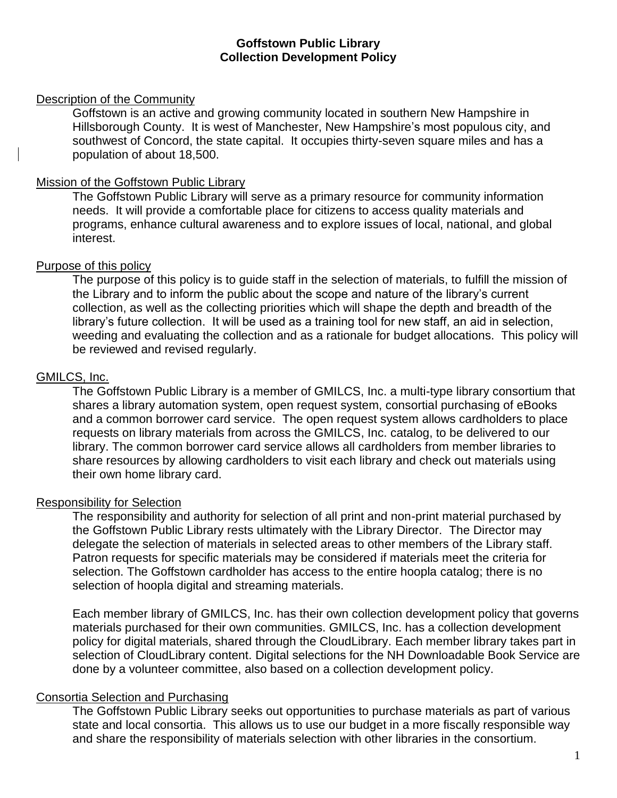#### **Goffstown Public Library Collection Development Policy**

#### Description of the Community

Goffstown is an active and growing community located in southern New Hampshire in Hillsborough County. It is west of Manchester, New Hampshire's most populous city, and southwest of Concord, the state capital. It occupies thirty-seven square miles and has a population of about 18,500.

#### Mission of the Goffstown Public Library

The Goffstown Public Library will serve as a primary resource for community information needs. It will provide a comfortable place for citizens to access quality materials and programs, enhance cultural awareness and to explore issues of local, national, and global interest.

#### Purpose of this policy

The purpose of this policy is to guide staff in the selection of materials, to fulfill the mission of the Library and to inform the public about the scope and nature of the library's current collection, as well as the collecting priorities which will shape the depth and breadth of the library's future collection. It will be used as a training tool for new staff, an aid in selection, weeding and evaluating the collection and as a rationale for budget allocations. This policy will be reviewed and revised regularly.

#### GMILCS, Inc.

The Goffstown Public Library is a member of GMILCS, Inc. a multi-type library consortium that shares a library automation system, open request system, consortial purchasing of eBooks and a common borrower card service. The open request system allows cardholders to place requests on library materials from across the GMILCS, Inc. catalog, to be delivered to our library. The common borrower card service allows all cardholders from member libraries to share resources by allowing cardholders to visit each library and check out materials using their own home library card.

#### Responsibility for Selection

The responsibility and authority for selection of all print and non-print material purchased by the Goffstown Public Library rests ultimately with the Library Director. The Director may delegate the selection of materials in selected areas to other members of the Library staff. Patron requests for specific materials may be considered if materials meet the criteria for selection. The Goffstown cardholder has access to the entire hoopla catalog; there is no selection of hoopla digital and streaming materials.

Each member library of GMILCS, Inc. has their own collection development policy that governs materials purchased for their own communities. GMILCS, Inc. has a collection development policy for digital materials, shared through the CloudLibrary. Each member library takes part in selection of CloudLibrary content. Digital selections for the NH Downloadable Book Service are done by a volunteer committee, also based on a collection development policy.

#### Consortia Selection and Purchasing

The Goffstown Public Library seeks out opportunities to purchase materials as part of various state and local consortia. This allows us to use our budget in a more fiscally responsible way and share the responsibility of materials selection with other libraries in the consortium.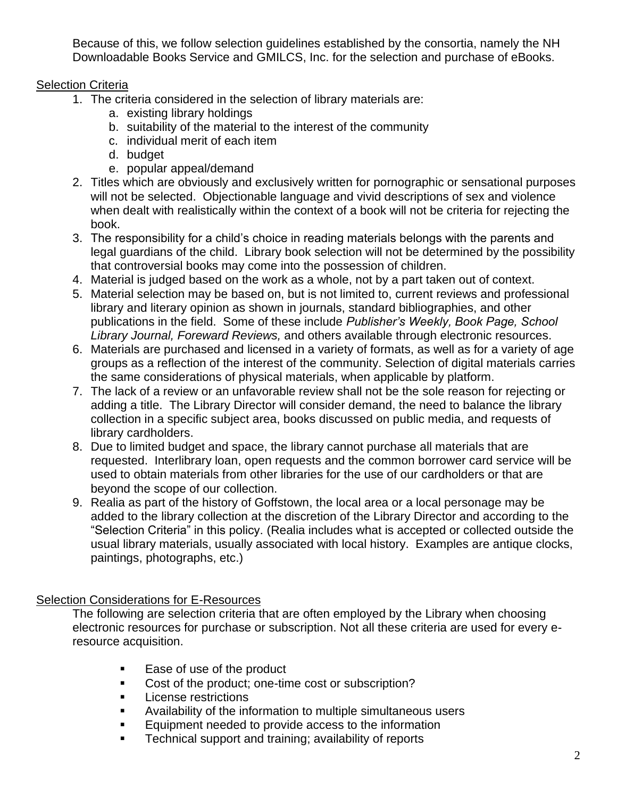Because of this, we follow selection guidelines established by the consortia, namely the NH Downloadable Books Service and GMILCS, Inc. for the selection and purchase of eBooks.

# Selection Criteria

- 1. The criteria considered in the selection of library materials are:
	- a. existing library holdings
	- b. suitability of the material to the interest of the community
	- c. individual merit of each item
	- d. budget
	- e. popular appeal/demand
- 2. Titles which are obviously and exclusively written for pornographic or sensational purposes will not be selected. Objectionable language and vivid descriptions of sex and violence when dealt with realistically within the context of a book will not be criteria for rejecting the book.
- 3. The responsibility for a child's choice in reading materials belongs with the parents and legal guardians of the child. Library book selection will not be determined by the possibility that controversial books may come into the possession of children.
- 4. Material is judged based on the work as a whole, not by a part taken out of context.
- 5. Material selection may be based on, but is not limited to, current reviews and professional library and literary opinion as shown in journals, standard bibliographies, and other publications in the field. Some of these include *Publisher's Weekly, Book Page, School Library Journal, Foreward Reviews,* and others available through electronic resources.
- 6. Materials are purchased and licensed in a variety of formats, as well as for a variety of age groups as a reflection of the interest of the community. Selection of digital materials carries the same considerations of physical materials, when applicable by platform.
- 7. The lack of a review or an unfavorable review shall not be the sole reason for rejecting or adding a title. The Library Director will consider demand, the need to balance the library collection in a specific subject area, books discussed on public media, and requests of library cardholders.
- 8. Due to limited budget and space, the library cannot purchase all materials that are requested. Interlibrary loan, open requests and the common borrower card service will be used to obtain materials from other libraries for the use of our cardholders or that are beyond the scope of our collection.
- 9. Realia as part of the history of Goffstown, the local area or a local personage may be added to the library collection at the discretion of the Library Director and according to the "Selection Criteria" in this policy. (Realia includes what is accepted or collected outside the usual library materials, usually associated with local history. Examples are antique clocks, paintings, photographs, etc.)

# Selection Considerations for E-Resources

The following are selection criteria that are often employed by the Library when choosing electronic resources for purchase or subscription. Not all these criteria are used for every eresource acquisition.

- Ease of use of the product
- Cost of the product; one-time cost or subscription?
- **License restrictions**
- Availability of the information to multiple simultaneous users
- Equipment needed to provide access to the information
- Technical support and training; availability of reports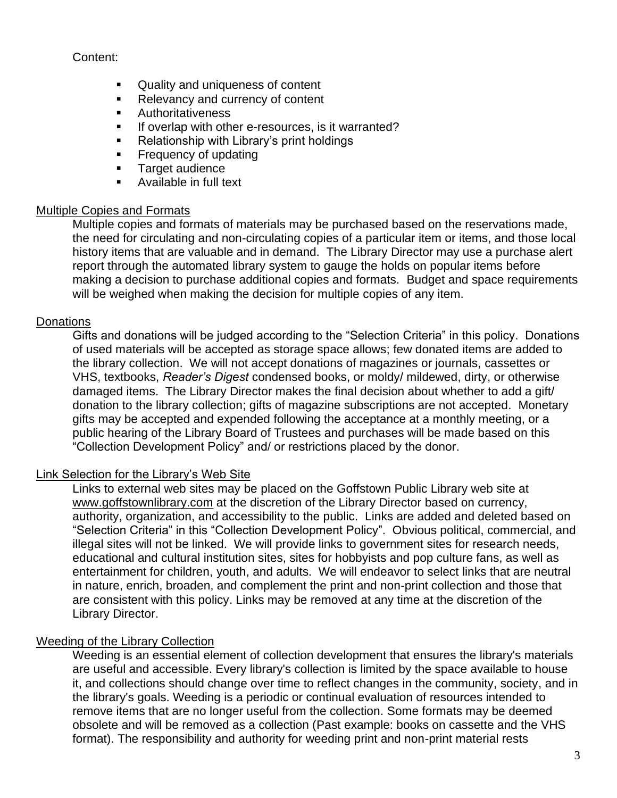### Content:

- Quality and uniqueness of content
- Relevancy and currency of content
- Authoritativeness
- If overlap with other e-resources, is it warranted?
- Relationship with Library's print holdings
- Frequency of updating
- Target audience
- Available in full text

### Multiple Copies and Formats

Multiple copies and formats of materials may be purchased based on the reservations made, the need for circulating and non-circulating copies of a particular item or items, and those local history items that are valuable and in demand. The Library Director may use a purchase alert report through the automated library system to gauge the holds on popular items before making a decision to purchase additional copies and formats. Budget and space requirements will be weighed when making the decision for multiple copies of any item.

### **Donations**

Gifts and donations will be judged according to the "Selection Criteria" in this policy. Donations of used materials will be accepted as storage space allows; few donated items are added to the library collection. We will not accept donations of magazines or journals, cassettes or VHS, textbooks, *Reader's Digest* condensed books, or moldy/ mildewed, dirty, or otherwise damaged items. The Library Director makes the final decision about whether to add a gift/ donation to the library collection; gifts of magazine subscriptions are not accepted. Monetary gifts may be accepted and expended following the acceptance at a monthly meeting, or a public hearing of the Library Board of Trustees and purchases will be made based on this "Collection Development Policy" and/ or restrictions placed by the donor.

# Link Selection for the Library's Web Site

Links to external web sites may be placed on the Goffstown Public Library web site at [www.goffstownlibrary.com](http://www.goffstownlibrary.com/) at the discretion of the Library Director based on currency, authority, organization, and accessibility to the public. Links are added and deleted based on "Selection Criteria" in this "Collection Development Policy". Obvious political, commercial, and illegal sites will not be linked. We will provide links to government sites for research needs, educational and cultural institution sites, sites for hobbyists and pop culture fans, as well as entertainment for children, youth, and adults. We will endeavor to select links that are neutral in nature, enrich, broaden, and complement the print and non-print collection and those that are consistent with this policy. Links may be removed at any time at the discretion of the Library Director.

# Weeding of the Library Collection

Weeding is an essential element of collection development that ensures the library's materials are useful and accessible. Every library's collection is limited by the space available to house it, and collections should change over time to reflect changes in the community, society, and in the library's goals. Weeding is a periodic or continual evaluation of resources intended to remove items that are no longer useful from the collection. Some formats may be deemed obsolete and will be removed as a collection (Past example: books on cassette and the VHS format). The responsibility and authority for weeding print and non-print material rests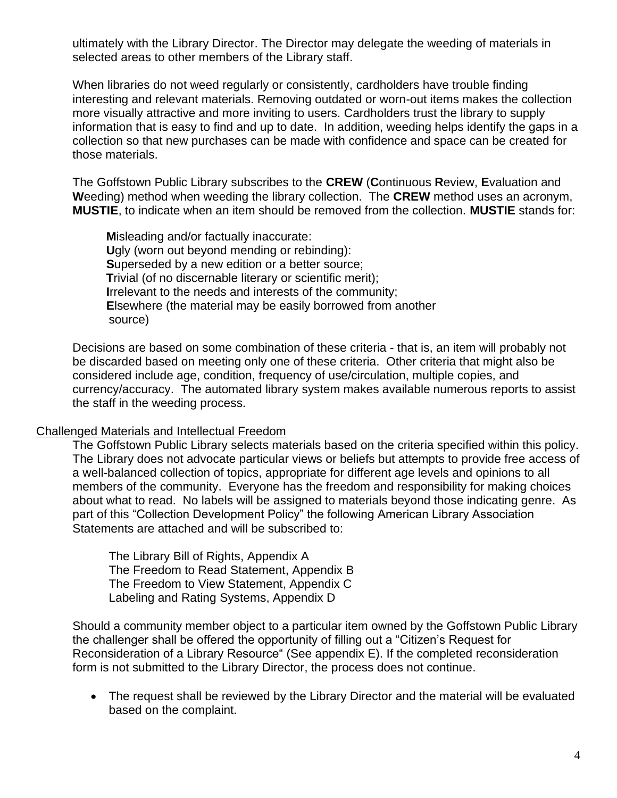ultimately with the Library Director. The Director may delegate the weeding of materials in selected areas to other members of the Library staff.

When libraries do not weed regularly or consistently, cardholders have trouble finding interesting and relevant materials. Removing outdated or worn-out items makes the collection more visually attractive and more inviting to users. Cardholders trust the library to supply information that is easy to find and up to date. In addition, weeding helps identify the gaps in a collection so that new purchases can be made with confidence and space can be created for those materials.

The Goffstown Public Library subscribes to the **CREW** (**C**ontinuous **R**eview, **E**valuation and **W**eeding) method when weeding the library collection. The **CREW** method uses an acronym, **MUSTIE**, to indicate when an item should be removed from the collection. **MUSTIE** stands for:

 **M**isleading and/or factually inaccurate: **U**gly (worn out beyond mending or rebinding): **S**uperseded by a new edition or a better source; **T**rivial (of no discernable literary or scientific merit); **I**rrelevant to the needs and interests of the community; **E**lsewhere (the material may be easily borrowed from another source)

Decisions are based on some combination of these criteria - that is, an item will probably not be discarded based on meeting only one of these criteria. Other criteria that might also be considered include age, condition, frequency of use/circulation, multiple copies, and currency/accuracy. The automated library system makes available numerous reports to assist the staff in the weeding process.

#### Challenged Materials and Intellectual Freedom

The Goffstown Public Library selects materials based on the criteria specified within this policy. The Library does not advocate particular views or beliefs but attempts to provide free access of a well-balanced collection of topics, appropriate for different age levels and opinions to all members of the community. Everyone has the freedom and responsibility for making choices about what to read. No labels will be assigned to materials beyond those indicating genre. As part of this "Collection Development Policy" the following American Library Association Statements are attached and will be subscribed to:

The Library Bill of Rights, Appendix A The Freedom to Read Statement, Appendix B The Freedom to View Statement, Appendix C Labeling and Rating Systems, Appendix D

Should a community member object to a particular item owned by the Goffstown Public Library the challenger shall be offered the opportunity of filling out a "Citizen's Request for Reconsideration of a Library Resource" (See appendix E). If the completed reconsideration form is not submitted to the Library Director, the process does not continue.

• The request shall be reviewed by the Library Director and the material will be evaluated based on the complaint.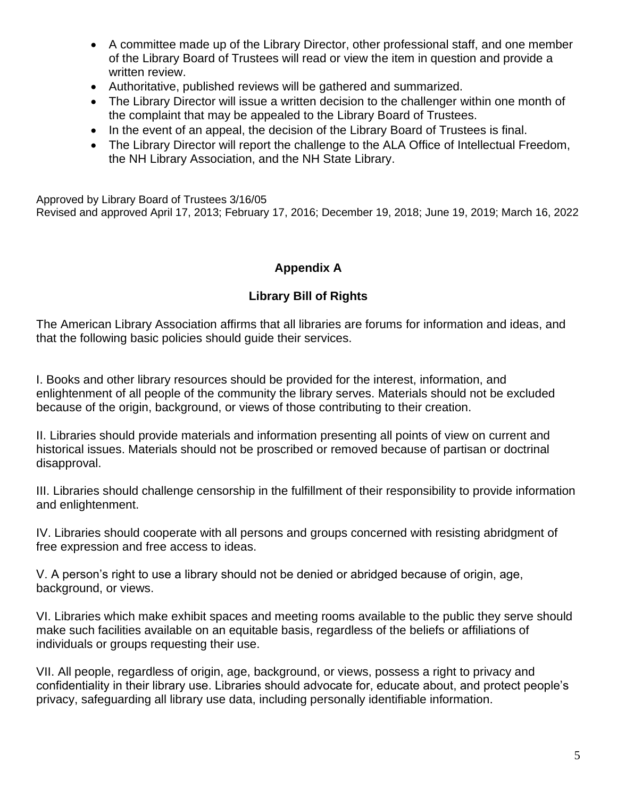- A committee made up of the Library Director, other professional staff, and one member of the Library Board of Trustees will read or view the item in question and provide a written review.
- Authoritative, published reviews will be gathered and summarized.
- The Library Director will issue a written decision to the challenger within one month of the complaint that may be appealed to the Library Board of Trustees.
- In the event of an appeal, the decision of the Library Board of Trustees is final.
- The Library Director will report the challenge to the ALA Office of Intellectual Freedom, the NH Library Association, and the NH State Library.

Approved by Library Board of Trustees 3/16/05 Revised and approved April 17, 2013; February 17, 2016; December 19, 2018; June 19, 2019; March 16, 2022

# **Appendix A**

# **Library Bill of Rights**

The American Library Association affirms that all libraries are forums for information and ideas, and that the following basic policies should guide their services.

I. Books and other library resources should be provided for the interest, information, and enlightenment of all people of the community the library serves. Materials should not be excluded because of the origin, background, or views of those contributing to their creation.

II. Libraries should provide materials and information presenting all points of view on current and historical issues. Materials should not be proscribed or removed because of partisan or doctrinal disapproval.

III. Libraries should challenge censorship in the fulfillment of their responsibility to provide information and enlightenment.

IV. Libraries should cooperate with all persons and groups concerned with resisting abridgment of free expression and free access to ideas.

V. A person's right to use a library should not be denied or abridged because of origin, age, background, or views.

VI. Libraries which make exhibit spaces and meeting rooms available to the public they serve should make such facilities available on an equitable basis, regardless of the beliefs or affiliations of individuals or groups requesting their use.

VII. All people, regardless of origin, age, background, or views, possess a right to privacy and confidentiality in their library use. Libraries should advocate for, educate about, and protect people's privacy, safeguarding all library use data, including personally identifiable information.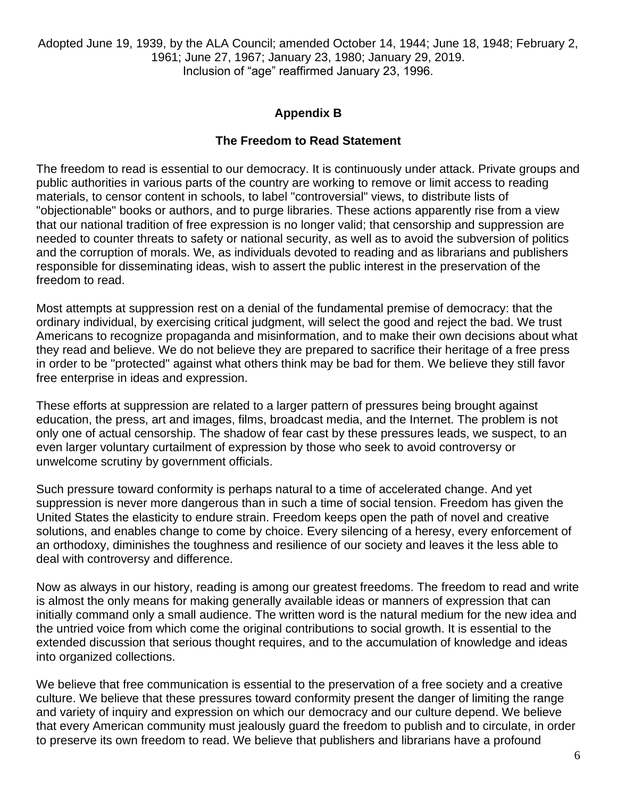Adopted June 19, 1939, by the ALA Council; amended October 14, 1944; June 18, 1948; February 2, 1961; June 27, 1967; January 23, 1980; January 29, 2019. Inclusion of "age" reaffirmed January 23, 1996.

# **Appendix B**

### **The Freedom to Read Statement**

The freedom to read is essential to our democracy. It is continuously under attack. Private groups and public authorities in various parts of the country are working to remove or limit access to reading materials, to censor content in schools, to label "controversial" views, to distribute lists of "objectionable" books or authors, and to purge libraries. These actions apparently rise from a view that our national tradition of free expression is no longer valid; that censorship and suppression are needed to counter threats to safety or national security, as well as to avoid the subversion of politics and the corruption of morals. We, as individuals devoted to reading and as librarians and publishers responsible for disseminating ideas, wish to assert the public interest in the preservation of the freedom to read.

Most attempts at suppression rest on a denial of the fundamental premise of democracy: that the ordinary individual, by exercising critical judgment, will select the good and reject the bad. We trust Americans to recognize propaganda and misinformation, and to make their own decisions about what they read and believe. We do not believe they are prepared to sacrifice their heritage of a free press in order to be "protected" against what others think may be bad for them. We believe they still favor free enterprise in ideas and expression.

These efforts at suppression are related to a larger pattern of pressures being brought against education, the press, art and images, films, broadcast media, and the Internet. The problem is not only one of actual censorship. The shadow of fear cast by these pressures leads, we suspect, to an even larger voluntary curtailment of expression by those who seek to avoid controversy or unwelcome scrutiny by government officials.

Such pressure toward conformity is perhaps natural to a time of accelerated change. And yet suppression is never more dangerous than in such a time of social tension. Freedom has given the United States the elasticity to endure strain. Freedom keeps open the path of novel and creative solutions, and enables change to come by choice. Every silencing of a heresy, every enforcement of an orthodoxy, diminishes the toughness and resilience of our society and leaves it the less able to deal with controversy and difference.

Now as always in our history, reading is among our greatest freedoms. The freedom to read and write is almost the only means for making generally available ideas or manners of expression that can initially command only a small audience. The written word is the natural medium for the new idea and the untried voice from which come the original contributions to social growth. It is essential to the extended discussion that serious thought requires, and to the accumulation of knowledge and ideas into organized collections.

We believe that free communication is essential to the preservation of a free society and a creative culture. We believe that these pressures toward conformity present the danger of limiting the range and variety of inquiry and expression on which our democracy and our culture depend. We believe that every American community must jealously guard the freedom to publish and to circulate, in order to preserve its own freedom to read. We believe that publishers and librarians have a profound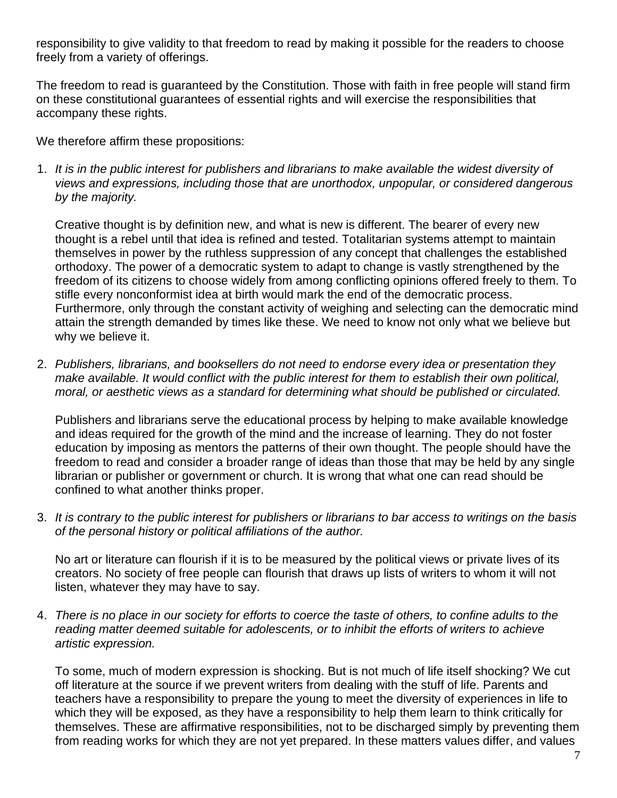responsibility to give validity to that freedom to read by making it possible for the readers to choose freely from a variety of offerings.

The freedom to read is guaranteed by the Constitution. Those with faith in free people will stand firm on these constitutional guarantees of essential rights and will exercise the responsibilities that accompany these rights.

We therefore affirm these propositions:

1. *It is in the public interest for publishers and librarians to make available the widest diversity of views and expressions, including those that are unorthodox, unpopular, or considered dangerous by the majority.*

Creative thought is by definition new, and what is new is different. The bearer of every new thought is a rebel until that idea is refined and tested. Totalitarian systems attempt to maintain themselves in power by the ruthless suppression of any concept that challenges the established orthodoxy. The power of a democratic system to adapt to change is vastly strengthened by the freedom of its citizens to choose widely from among conflicting opinions offered freely to them. To stifle every nonconformist idea at birth would mark the end of the democratic process. Furthermore, only through the constant activity of weighing and selecting can the democratic mind attain the strength demanded by times like these. We need to know not only what we believe but why we believe it.

2. *Publishers, librarians, and booksellers do not need to endorse every idea or presentation they make available. It would conflict with the public interest for them to establish their own political, moral, or aesthetic views as a standard for determining what should be published or circulated.*

Publishers and librarians serve the educational process by helping to make available knowledge and ideas required for the growth of the mind and the increase of learning. They do not foster education by imposing as mentors the patterns of their own thought. The people should have the freedom to read and consider a broader range of ideas than those that may be held by any single librarian or publisher or government or church. It is wrong that what one can read should be confined to what another thinks proper.

3. *It is contrary to the public interest for publishers or librarians to bar access to writings on the basis of the personal history or political affiliations of the author.*

No art or literature can flourish if it is to be measured by the political views or private lives of its creators. No society of free people can flourish that draws up lists of writers to whom it will not listen, whatever they may have to say.

4. *There is no place in our society for efforts to coerce the taste of others, to confine adults to the reading matter deemed suitable for adolescents, or to inhibit the efforts of writers to achieve artistic expression.*

To some, much of modern expression is shocking. But is not much of life itself shocking? We cut off literature at the source if we prevent writers from dealing with the stuff of life. Parents and teachers have a responsibility to prepare the young to meet the diversity of experiences in life to which they will be exposed, as they have a responsibility to help them learn to think critically for themselves. These are affirmative responsibilities, not to be discharged simply by preventing them from reading works for which they are not yet prepared. In these matters values differ, and values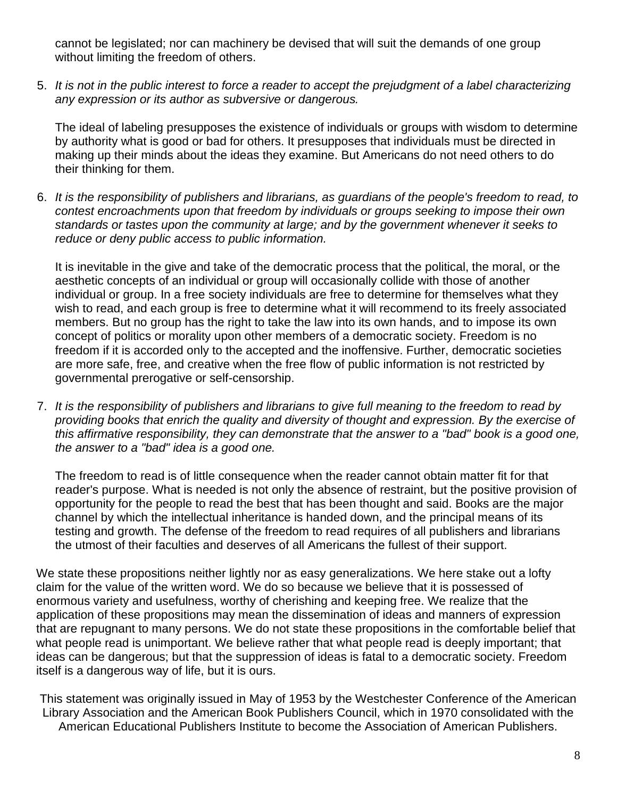cannot be legislated; nor can machinery be devised that will suit the demands of one group without limiting the freedom of others.

5. *It is not in the public interest to force a reader to accept the prejudgment of a label characterizing any expression or its author as subversive or dangerous.*

The ideal of labeling presupposes the existence of individuals or groups with wisdom to determine by authority what is good or bad for others. It presupposes that individuals must be directed in making up their minds about the ideas they examine. But Americans do not need others to do their thinking for them.

6. *It is the responsibility of publishers and librarians, as guardians of the people's freedom to read, to contest encroachments upon that freedom by individuals or groups seeking to impose their own standards or tastes upon the community at large; and by the government whenever it seeks to reduce or deny public access to public information.*

It is inevitable in the give and take of the democratic process that the political, the moral, or the aesthetic concepts of an individual or group will occasionally collide with those of another individual or group. In a free society individuals are free to determine for themselves what they wish to read, and each group is free to determine what it will recommend to its freely associated members. But no group has the right to take the law into its own hands, and to impose its own concept of politics or morality upon other members of a democratic society. Freedom is no freedom if it is accorded only to the accepted and the inoffensive. Further, democratic societies are more safe, free, and creative when the free flow of public information is not restricted by governmental prerogative or self-censorship.

7. *It is the responsibility of publishers and librarians to give full meaning to the freedom to read by providing books that enrich the quality and diversity of thought and expression. By the exercise of this affirmative responsibility, they can demonstrate that the answer to a "bad" book is a good one, the answer to a "bad" idea is a good one.*

The freedom to read is of little consequence when the reader cannot obtain matter fit for that reader's purpose. What is needed is not only the absence of restraint, but the positive provision of opportunity for the people to read the best that has been thought and said. Books are the major channel by which the intellectual inheritance is handed down, and the principal means of its testing and growth. The defense of the freedom to read requires of all publishers and librarians the utmost of their faculties and deserves of all Americans the fullest of their support.

We state these propositions neither lightly nor as easy generalizations. We here stake out a lofty claim for the value of the written word. We do so because we believe that it is possessed of enormous variety and usefulness, worthy of cherishing and keeping free. We realize that the application of these propositions may mean the dissemination of ideas and manners of expression that are repugnant to many persons. We do not state these propositions in the comfortable belief that what people read is unimportant. We believe rather that what people read is deeply important; that ideas can be dangerous; but that the suppression of ideas is fatal to a democratic society. Freedom itself is a dangerous way of life, but it is ours.

This statement was originally issued in May of 1953 by the Westchester Conference of the American Library Association and the American Book Publishers Council, which in 1970 consolidated with the American Educational Publishers Institute to become the Association of American Publishers.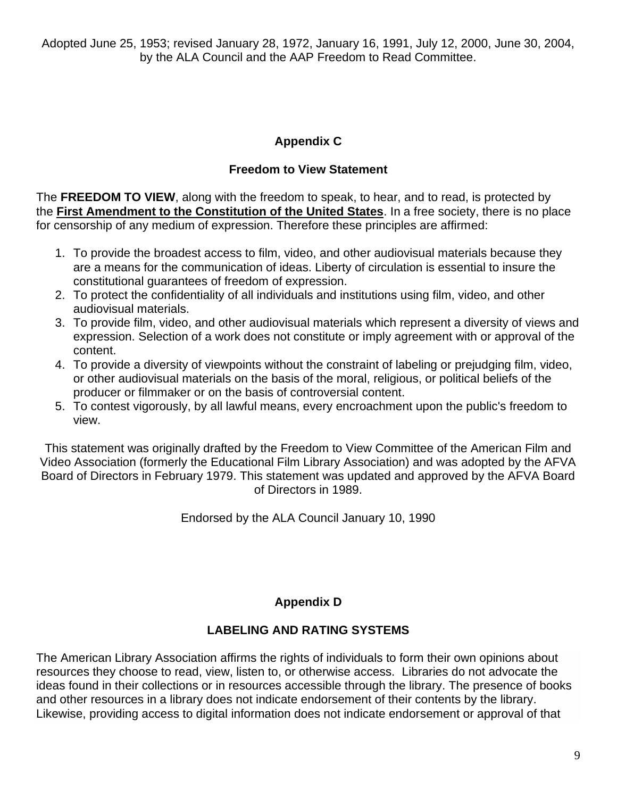# **Appendix C**

# **Freedom to View Statement**

The **FREEDOM TO VIEW**, along with the freedom to speak, to hear, and to read, is protected by the **[First Amendment to the Constitution of the United States](http://www.ala.org/ala/oif/firstamendment/firstamendment.htm)**. In a free society, there is no place for censorship of any medium of expression. Therefore these principles are affirmed:

- 1. To provide the broadest access to film, video, and other audiovisual materials because they are a means for the communication of ideas. Liberty of circulation is essential to insure the constitutional guarantees of freedom of expression.
- 2. To protect the confidentiality of all individuals and institutions using film, video, and other audiovisual materials.
- 3. To provide film, video, and other audiovisual materials which represent a diversity of views and expression. Selection of a work does not constitute or imply agreement with or approval of the content.
- 4. To provide a diversity of viewpoints without the constraint of labeling or prejudging film, video, or other audiovisual materials on the basis of the moral, religious, or political beliefs of the producer or filmmaker or on the basis of controversial content.
- 5. To contest vigorously, by all lawful means, every encroachment upon the public's freedom to view.

This statement was originally drafted by the Freedom to View Committee of the American Film and Video Association (formerly the Educational Film Library Association) and was adopted by the AFVA Board of Directors in February 1979. This statement was updated and approved by the AFVA Board of Directors in 1989.

Endorsed by the ALA Council January 10, 1990

# **Appendix D**

# **LABELING AND RATING SYSTEMS**

The American Library Association affirms the rights of individuals to form their own opinions about resources they choose to read, view, listen to, or otherwise access. Libraries do not advocate the ideas found in their collections or in resources accessible through the library. The presence of books and other resources in a library does not indicate endorsement of their contents by the library. Likewise, providing access to digital information does not indicate endorsement or approval of that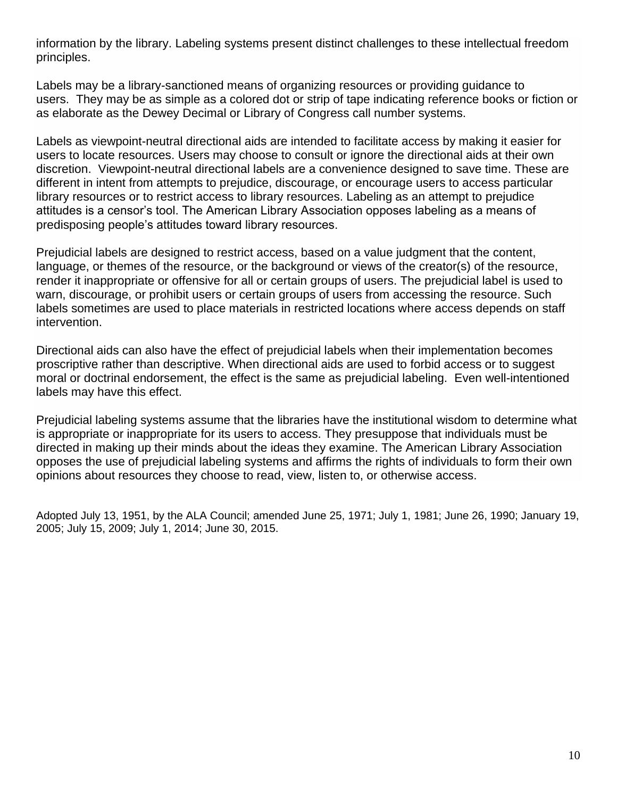information by the library. Labeling systems present distinct challenges to these intellectual freedom principles.

Labels may be a library-sanctioned means of organizing resources or providing guidance to users. They may be as simple as a colored dot or strip of tape indicating reference books or fiction or as elaborate as the Dewey Decimal or Library of Congress call number systems.

Labels as viewpoint-neutral directional aids are intended to facilitate access by making it easier for users to locate resources. Users may choose to consult or ignore the directional aids at their own discretion. Viewpoint-neutral directional labels are a convenience designed to save time. These are different in intent from attempts to prejudice, discourage, or encourage users to access particular library resources or to restrict access to library resources. Labeling as an attempt to prejudice attitudes is a censor's tool. The American Library Association opposes labeling as a means of predisposing people's attitudes toward library resources.

Prejudicial labels are designed to restrict access, based on a value judgment that the content, language, or themes of the resource, or the background or views of the creator(s) of the resource, render it inappropriate or offensive for all or certain groups of users. The prejudicial label is used to warn, discourage, or prohibit users or certain groups of users from accessing the resource. Such labels sometimes are used to place materials in restricted locations where access depends on staff intervention.

Directional aids can also have the effect of prejudicial labels when their implementation becomes proscriptive rather than descriptive. When directional aids are used to forbid access or to suggest moral or doctrinal endorsement, the effect is the same as prejudicial labeling. Even well-intentioned labels may have this effect.

Prejudicial labeling systems assume that the libraries have the institutional wisdom to determine what is appropriate or inappropriate for its users to access. They presuppose that individuals must be directed in making up their minds about the ideas they examine. The American Library Association opposes the use of prejudicial labeling systems and affirms the rights of individuals to form their own opinions about resources they choose to read, view, listen to, or otherwise access.

Adopted July 13, 1951, by the ALA Council; amended June 25, 1971; July 1, 1981; June 26, 1990; January 19, 2005; July 15, 2009; July 1, 2014; June 30, 2015.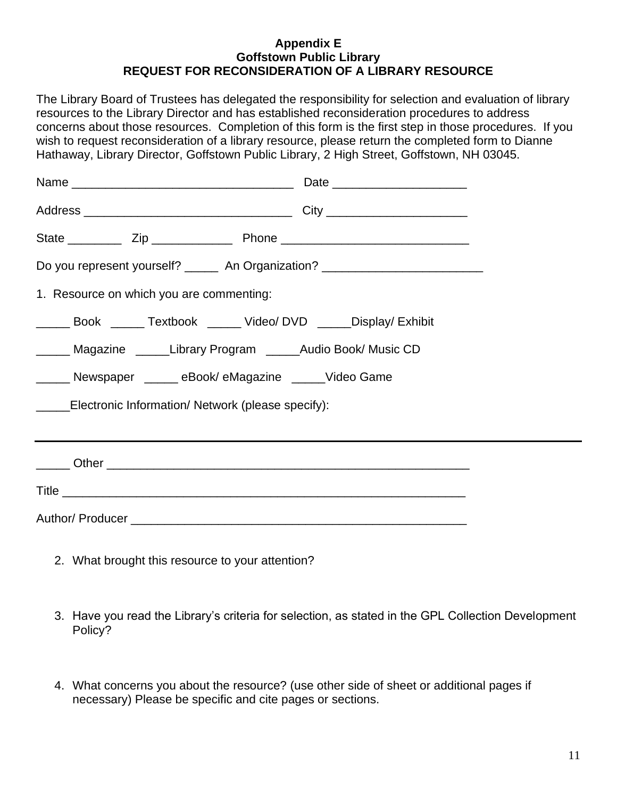#### **Appendix E Goffstown Public Library REQUEST FOR RECONSIDERATION OF A LIBRARY RESOURCE**

The Library Board of Trustees has delegated the responsibility for selection and evaluation of library resources to the Library Director and has established reconsideration procedures to address concerns about those resources. Completion of this form is the first step in those procedures. If you wish to request reconsideration of a library resource, please return the completed form to Dianne Hathaway, Library Director, Goffstown Public Library, 2 High Street, Goffstown, NH 03045.

| Do you represent yourself? _______ An Organization? ____________________________ |  |
|----------------------------------------------------------------------------------|--|
| 1. Resource on which you are commenting:                                         |  |
| ______ Book ______ Textbook ______ Video/ DVD _____ Display/ Exhibit             |  |
| ______ Magazine ______Library Program ______Audio Book/ Music CD                 |  |
| ______ Newspaper _______ eBook/ eMagazine _____Video Game                        |  |
| Electronic Information/ Network (please specify):                                |  |
|                                                                                  |  |
|                                                                                  |  |
|                                                                                  |  |
|                                                                                  |  |

- 2. What brought this resource to your attention?
- 3. Have you read the Library's criteria for selection, as stated in the GPL Collection Development Policy?
- 4. What concerns you about the resource? (use other side of sheet or additional pages if necessary) Please be specific and cite pages or sections.